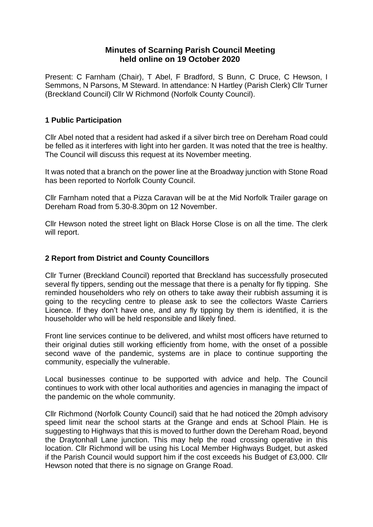## **Minutes of Scarning Parish Council Meeting held online on 19 October 2020**

Present: C Farnham (Chair), T Abel, F Bradford, S Bunn, C Druce, C Hewson, I Semmons, N Parsons, M Steward. In attendance: N Hartley (Parish Clerk) Cllr Turner (Breckland Council) Cllr W Richmond (Norfolk County Council).

## **1 Public Participation**

Cllr Abel noted that a resident had asked if a silver birch tree on Dereham Road could be felled as it interferes with light into her garden. It was noted that the tree is healthy. The Council will discuss this request at its November meeting.

It was noted that a branch on the power line at the Broadway junction with Stone Road has been reported to Norfolk County Council.

Cllr Farnham noted that a Pizza Caravan will be at the Mid Norfolk Trailer garage on Dereham Road from 5.30-8.30pm on 12 November.

Cllr Hewson noted the street light on Black Horse Close is on all the time. The clerk will report.

### **2 Report from District and County Councillors**

Cllr Turner (Breckland Council) reported that Breckland has successfully prosecuted several fly tippers, sending out the message that there is a penalty for fly tipping. She reminded householders who rely on others to take away their rubbish assuming it is going to the recycling centre to please ask to see the collectors Waste Carriers Licence. If they don't have one, and any fly tipping by them is identified, it is the householder who will be held responsible and likely fined.

Front line services continue to be delivered, and whilst most officers have returned to their original duties still working efficiently from home, with the onset of a possible second wave of the pandemic, systems are in place to continue supporting the community, especially the vulnerable.

Local businesses continue to be supported with advice and help. The Council continues to work with other local authorities and agencies in managing the impact of the pandemic on the whole community.

Cllr Richmond (Norfolk County Council) said that he had noticed the 20mph advisory speed limit near the school starts at the Grange and ends at School Plain. He is suggesting to Highways that this is moved to further down the Dereham Road, beyond the Draytonhall Lane junction. This may help the road crossing operative in this location. Cllr Richmond will be using his Local Member Highways Budget, but asked if the Parish Council would support him if the cost exceeds his Budget of £3,000. Cllr Hewson noted that there is no signage on Grange Road.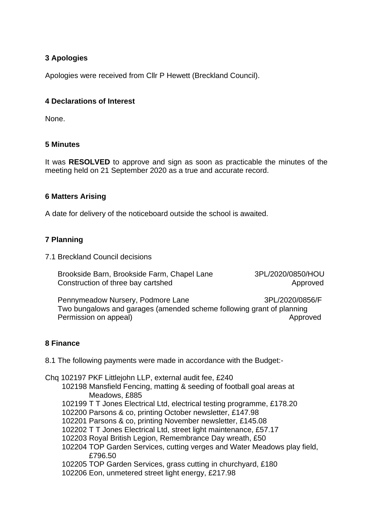# **3 Apologies**

Apologies were received from Cllr P Hewett (Breckland Council).

### **4 Declarations of Interest**

None.

### **5 Minutes**

It was **RESOLVED** to approve and sign as soon as practicable the minutes of the meeting held on 21 September 2020 as a true and accurate record.

### **6 Matters Arising**

A date for delivery of the noticeboard outside the school is awaited.

### **7 Planning**

7.1 Breckland Council decisions

 Brookside Barn, Brookside Farm, Chapel Lane 3PL/2020/0850/HOU Construction of three bay cartshed Approved

Pennymeadow Nursery, Podmore Lane 3PL/2020/0856/F Two bungalows and garages (amended scheme following grant of planning Permission on appeal) and the contract of the contract of the contract of the contract of the contract of the contract of the contract of the contract of the contract of the contract of the contract of the contract of the

### **8 Finance**

8.1 The following payments were made in accordance with the Budget:-

Chq 102197 PKF Littlejohn LLP, external audit fee, £240

- 102198 Mansfield Fencing, matting & seeding of football goal areas at Meadows, £885
- 102199 T T Jones Electrical Ltd, electrical testing programme, £178.20
- 102200 Parsons & co, printing October newsletter, £147.98
- 102201 Parsons & co, printing November newsletter, £145.08
- 102202 T T Jones Electrical Ltd, street light maintenance, £57.17
- 102203 Royal British Legion, Remembrance Day wreath, £50
- 102204 TOP Garden Services, cutting verges and Water Meadows play field, £796.50
- 102205 TOP Garden Services, grass cutting in churchyard, £180

102206 Eon, unmetered street light energy, £217.98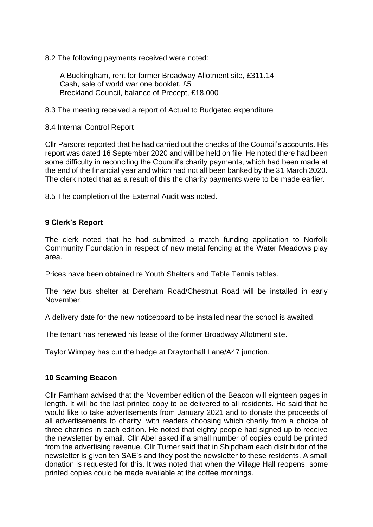8.2 The following payments received were noted:

 A Buckingham, rent for former Broadway Allotment site, £311.14 Cash, sale of world war one booklet, £5 Breckland Council, balance of Precept, £18,000

8.3 The meeting received a report of Actual to Budgeted expenditure

8.4 Internal Control Report

Cllr Parsons reported that he had carried out the checks of the Council's accounts. His report was dated 16 September 2020 and will be held on file. He noted there had been some difficulty in reconciling the Council's charity payments, which had been made at the end of the financial year and which had not all been banked by the 31 March 2020. The clerk noted that as a result of this the charity payments were to be made earlier.

8.5 The completion of the External Audit was noted.

### **9 Clerk's Report**

The clerk noted that he had submitted a match funding application to Norfolk Community Foundation in respect of new metal fencing at the Water Meadows play area.

Prices have been obtained re Youth Shelters and Table Tennis tables.

The new bus shelter at Dereham Road/Chestnut Road will be installed in early November.

A delivery date for the new noticeboard to be installed near the school is awaited.

The tenant has renewed his lease of the former Broadway Allotment site.

Taylor Wimpey has cut the hedge at Draytonhall Lane/A47 junction.

### **10 Scarning Beacon**

Cllr Farnham advised that the November edition of the Beacon will eighteen pages in length. It will be the last printed copy to be delivered to all residents. He said that he would like to take advertisements from January 2021 and to donate the proceeds of all advertisements to charity, with readers choosing which charity from a choice of three charities in each edition. He noted that eighty people had signed up to receive the newsletter by email. Cllr Abel asked if a small number of copies could be printed from the advertising revenue. Cllr Turner said that in Shipdham each distributor of the newsletter is given ten SAE's and they post the newsletter to these residents. A small donation is requested for this. It was noted that when the Village Hall reopens, some printed copies could be made available at the coffee mornings.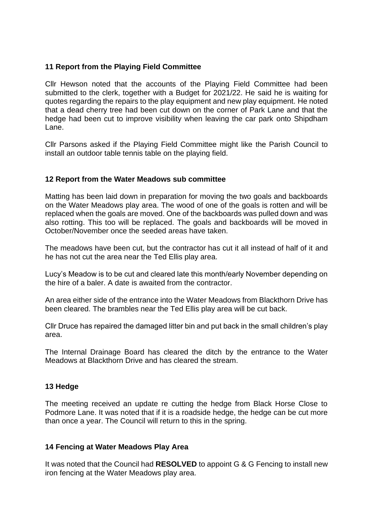### **11 Report from the Playing Field Committee**

Cllr Hewson noted that the accounts of the Playing Field Committee had been submitted to the clerk, together with a Budget for 2021/22. He said he is waiting for quotes regarding the repairs to the play equipment and new play equipment. He noted that a dead cherry tree had been cut down on the corner of Park Lane and that the hedge had been cut to improve visibility when leaving the car park onto Shipdham Lane.

Cllr Parsons asked if the Playing Field Committee might like the Parish Council to install an outdoor table tennis table on the playing field.

### **12 Report from the Water Meadows sub committee**

Matting has been laid down in preparation for moving the two goals and backboards on the Water Meadows play area. The wood of one of the goals is rotten and will be replaced when the goals are moved. One of the backboards was pulled down and was also rotting. This too will be replaced. The goals and backboards will be moved in October/November once the seeded areas have taken.

The meadows have been cut, but the contractor has cut it all instead of half of it and he has not cut the area near the Ted Ellis play area.

Lucy's Meadow is to be cut and cleared late this month/early November depending on the hire of a baler. A date is awaited from the contractor.

An area either side of the entrance into the Water Meadows from Blackthorn Drive has been cleared. The brambles near the Ted Ellis play area will be cut back.

Cllr Druce has repaired the damaged litter bin and put back in the small children's play area.

The Internal Drainage Board has cleared the ditch by the entrance to the Water Meadows at Blackthorn Drive and has cleared the stream.

### **13 Hedge**

The meeting received an update re cutting the hedge from Black Horse Close to Podmore Lane. It was noted that if it is a roadside hedge, the hedge can be cut more than once a year. The Council will return to this in the spring.

### **14 Fencing at Water Meadows Play Area**

It was noted that the Council had **RESOLVED** to appoint G & G Fencing to install new iron fencing at the Water Meadows play area.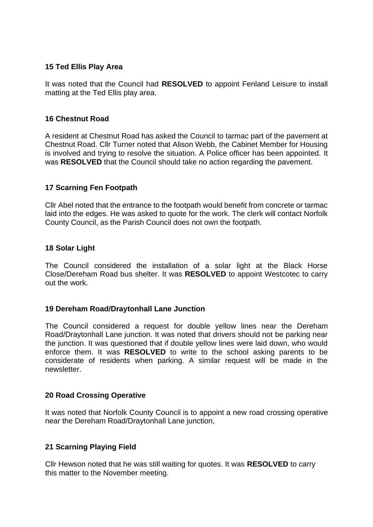### **15 Ted Ellis Play Area**

It was noted that the Council had **RESOLVED** to appoint Fenland Leisure to install matting at the Ted Ellis play area.

### **16 Chestnut Road**

A resident at Chestnut Road has asked the Council to tarmac part of the pavement at Chestnut Road. Cllr Turner noted that Alison Webb, the Cabinet Member for Housing is involved and trying to resolve the situation. A Police officer has been appointed. It was **RESOLVED** that the Council should take no action regarding the pavement.

### **17 Scarning Fen Footpath**

Cllr Abel noted that the entrance to the footpath would benefit from concrete or tarmac laid into the edges. He was asked to quote for the work. The clerk will contact Norfolk County Council, as the Parish Council does not own the footpath.

### **18 Solar Light**

The Council considered the installation of a solar light at the Black Horse Close/Dereham Road bus shelter. It was **RESOLVED** to appoint Westcotec to carry out the work.

### **19 Dereham Road/Draytonhall Lane Junction**

The Council considered a request for double yellow lines near the Dereham Road/Draytonhall Lane junction. It was noted that drivers should not be parking near the junction. It was questioned that if double yellow lines were laid down, who would enforce them. It was **RESOLVED** to write to the school asking parents to be considerate of residents when parking. A similar request will be made in the newsletter.

### **20 Road Crossing Operative**

It was noted that Norfolk County Council is to appoint a new road crossing operative near the Dereham Road/Draytonhall Lane junction,

## **21 Scarning Playing Field**

Cllr Hewson noted that he was still waiting for quotes. It was **RESOLVED** to carry this matter to the November meeting.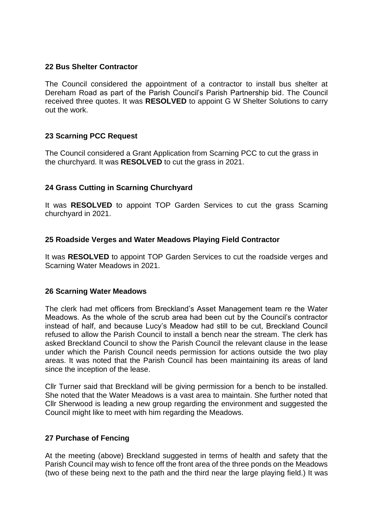#### **22 Bus Shelter Contractor**

The Council considered the appointment of a contractor to install bus shelter at Dereham Road as part of the Parish Council's Parish Partnership bid. The Council received three quotes. It was **RESOLVED** to appoint G W Shelter Solutions to carry out the work.

### **23 Scarning PCC Request**

The Council considered a Grant Application from Scarning PCC to cut the grass in the churchyard. It was **RESOLVED** to cut the grass in 2021.

### **24 Grass Cutting in Scarning Churchyard**

It was **RESOLVED** to appoint TOP Garden Services to cut the grass Scarning churchyard in 2021.

### **25 Roadside Verges and Water Meadows Playing Field Contractor**

It was **RESOLVED** to appoint TOP Garden Services to cut the roadside verges and Scarning Water Meadows in 2021.

### **26 Scarning Water Meadows**

The clerk had met officers from Breckland's Asset Management team re the Water Meadows. As the whole of the scrub area had been cut by the Council's contractor instead of half, and because Lucy's Meadow had still to be cut, Breckland Council refused to allow the Parish Council to install a bench near the stream. The clerk has asked Breckland Council to show the Parish Council the relevant clause in the lease under which the Parish Council needs permission for actions outside the two play areas. It was noted that the Parish Council has been maintaining its areas of land since the inception of the lease.

Cllr Turner said that Breckland will be giving permission for a bench to be installed. She noted that the Water Meadows is a vast area to maintain. She further noted that Cllr Sherwood is leading a new group regarding the environment and suggested the Council might like to meet with him regarding the Meadows.

### **27 Purchase of Fencing**

At the meeting (above) Breckland suggested in terms of health and safety that the Parish Council may wish to fence off the front area of the three ponds on the Meadows (two of these being next to the path and the third near the large playing field.) It was